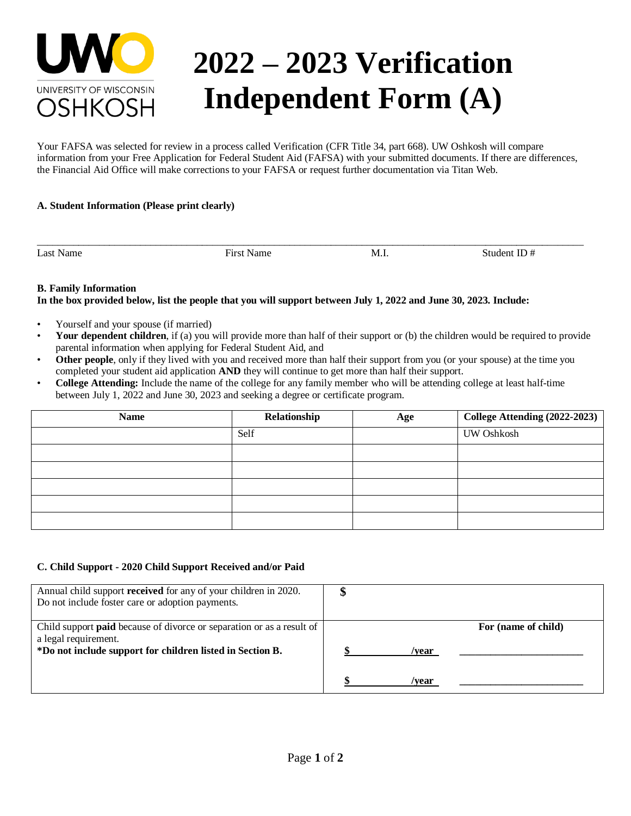

# **2022 – 2023 Verification Independent Form (A)**

Your FAFSA was selected for review in a process called Verification (CFR Title 34, part 668). UW Oshkosh will compare information from your Free Application for Federal Student Aid (FAFSA) with your submitted documents. If there are differences, the Financial Aid Office will make corrections to your FAFSA or request further documentation via Titan Web.

\_\_\_\_\_\_\_\_\_\_\_\_\_\_\_\_\_\_\_\_\_\_\_\_\_\_\_\_\_\_\_\_\_\_\_\_\_\_\_\_\_\_\_\_\_\_\_\_\_\_\_\_\_\_\_\_\_\_\_\_\_\_\_\_\_\_\_\_\_\_\_\_\_\_\_\_\_\_\_\_\_\_\_\_\_\_\_\_\_\_\_\_\_\_\_\_\_\_\_\_\_\_\_\_\_\_

### **A. Student Information (Please print clearly)**

Last Name Student ID  $\#$  First Name M.I. Student ID  $\#$ 

# **B. Family Information**

# **In the box provided below, list the people that you will support between July 1, 2022 and June 30, 2023. Include:**

- Yourself and your spouse (if married)
- **Your dependent children**, if (a) you will provide more than half of their support or (b) the children would be required to provide parental information when applying for Federal Student Aid, and
- **Other people**, only if they lived with you and received more than half their support from you (or your spouse) at the time you completed your student aid application **AND** they will continue to get more than half their support.
- **College Attending:** Include the name of the college for any family member who will be attending college at least half-time between July 1, 2022 and June 30, 2023 and seeking a degree or certificate program.

| <b>Name</b> | Relationship | Age | College Attending (2022-2023) |
|-------------|--------------|-----|-------------------------------|
|             | Self         |     | UW Oshkosh                    |
|             |              |     |                               |
|             |              |     |                               |
|             |              |     |                               |
|             |              |     |                               |
|             |              |     |                               |

### **C. Child Support - 2020 Child Support Received and/or Paid**

| Annual child support <b>received</b> for any of your children in 2020.<br>Do not include foster care or adoption payments.                                        | ۸D |                |                     |
|-------------------------------------------------------------------------------------------------------------------------------------------------------------------|----|----------------|---------------------|
| Child support <b>paid</b> because of divorce or separation or as a result of<br>a legal requirement.<br>*Do not include support for children listed in Section B. |    | /vear<br>/vear | For (name of child) |